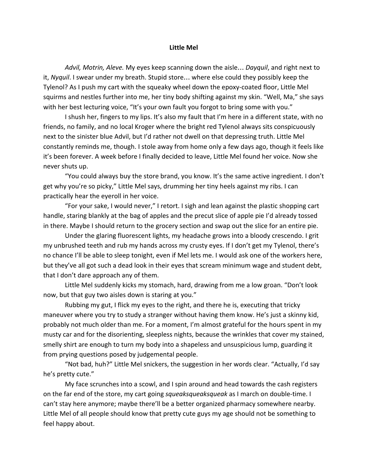## **Little Mel**

*Advil, Motrin, Aleve.* My eyes keep scanning down the aisle… *Dayquil*, and right next to it, *Nyquil*. I swear under my breath. Stupid store… where else could they possibly keep the Tylenol? As I push my cart with the squeaky wheel down the epoxy-coated floor, Little Mel squirms and nestles further into me, her tiny body shifting against my skin. "Well, Ma," she says with her best lecturing voice, "It's your own fault you forgot to bring some with you."

I shush her, fingers to my lips. It's also my fault that I'm here in a different state, with no friends, no family, and no local Kroger where the bright red Tylenol always sits conspicuously next to the sinister blue Advil, but I'd rather not dwell on that depressing truth. Little Mel constantly reminds me, though. I stole away from home only a few days ago, though it feels like it's been forever. A week before I finally decided to leave, Little Mel found her voice. Now she never shuts up.

"You could always buy the store brand, you know. It's the same active ingredient. I don't get why you're so picky," Little Mel says, drumming her tiny heels against my ribs. I can practically hear the eyeroll in her voice.

"For your sake, I would never," I retort. I sigh and lean against the plastic shopping cart handle, staring blankly at the bag of apples and the precut slice of apple pie I'd already tossed in there. Maybe I should return to the grocery section and swap out the slice for an entire pie.

Under the glaring fluorescent lights, my headache grows into a bloody crescendo. I grit my unbrushed teeth and rub my hands across my crusty eyes. If I don't get my Tylenol, there's no chance I'll be able to sleep tonight, even if Mel lets me. I would ask one of the workers here, but they've all got such a dead look in their eyes that scream minimum wage and student debt, that I don't dare approach any of them.

Little Mel suddenly kicks my stomach, hard, drawing from me a low groan. "Don't look now, but that guy two aisles down is staring at you."

Rubbing my gut, I flick my eyes to the right, and there he is, executing that tricky maneuver where you try to study a stranger without having them know. He's just a skinny kid, probably not much older than me. For a moment, I'm almost grateful for the hours spent in my musty car and for the disorienting, sleepless nights, because the wrinkles that cover my stained, smelly shirt are enough to turn my body into a shapeless and unsuspicious lump, guarding it from prying questions posed by judgemental people.

"Not bad, huh?" Little Mel snickers, the suggestion in her words clear. "Actually, I'd say he's pretty cute."

My face scrunches into a scowl, and I spin around and head towards the cash registers on the far end of the store, my cart going *squeaksqueaksqueak* as I march on double-time. I can't stay here anymore; maybe there'll be a better organized pharmacy somewhere nearby. Little Mel of all people should know that pretty cute guys my age should not be something to feel happy about.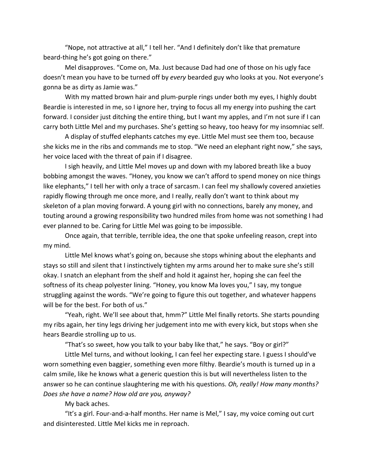"Nope, not attractive at all," I tell her. "And I definitely don't like that premature beard-thing he's got going on there."

Mel disapproves. "Come on, Ma. Just because Dad had one of those on his ugly face doesn't mean you have to be turned off by *every* bearded guy who looks at you. Not everyone's gonna be as dirty as Jamie was."

With my matted brown hair and plum-purple rings under both my eyes, I highly doubt Beardie is interested in me, so I ignore her, trying to focus all my energy into pushing the cart forward. I consider just ditching the entire thing, but I want my apples, and I'm not sure if I can carry both Little Mel and my purchases. She's getting so heavy, too heavy for my insomniac self.

A display of stuffed elephants catches my eye. Little Mel must see them too, because she kicks me in the ribs and commands me to stop. "We need an elephant right now," she says, her voice laced with the threat of pain if I disagree.

I sigh heavily, and Little Mel moves up and down with my labored breath like a buoy bobbing amongst the waves. "Honey, you know we can't afford to spend money on nice things like elephants," I tell her with only a trace of sarcasm. I can feel my shallowly covered anxieties rapidly flowing through me once more, and I really, really don't want to think about my skeleton of a plan moving forward. A young girl with no connections, barely any money, and touting around a growing responsibility two hundred miles from home was not something I had ever planned to be. Caring for Little Mel was going to be impossible.

Once again, that terrible, terrible idea, the one that spoke unfeeling reason, crept into my mind.

Little Mel knows what's going on, because she stops whining about the elephants and stays so still and silent that I instinctively tighten my arms around her to make sure she's still okay. I snatch an elephant from the shelf and hold it against her, hoping she can feel the softness of its cheap polyester lining. "Honey, you know Ma loves you," I say, my tongue struggling against the words. "We're going to figure this out together, and whatever happens will be for the best. For both of us."

"Yeah, right. We'll see about that, hmm?" Little Mel finally retorts. She starts pounding my ribs again, her tiny legs driving her judgement into me with every kick, but stops when she hears Beardie strolling up to us.

"That's so sweet, how you talk to your baby like that," he says. "Boy or girl?"

Little Mel turns, and without looking, I can feel her expecting stare. I guess I should've worn something even baggier, something even more filthy. Beardie's mouth is turned up in a calm smile, like he knows what a generic question this is but will nevertheless listen to the answer so he can continue slaughtering me with his questions. *Oh, really! How many months? Does she have a name? How old are you, anyway?*

My back aches.

"It's a girl. Four-and-a-half months. Her name is Mel," I say, my voice coming out curt and disinterested. Little Mel kicks me in reproach.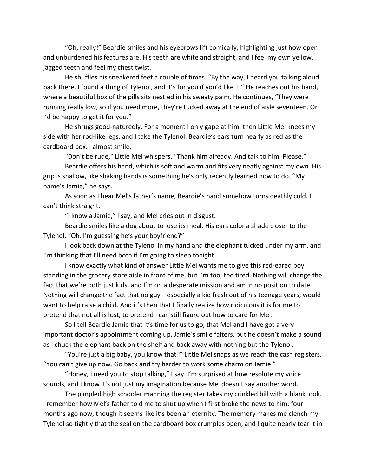"Oh, really!" Beardie smiles and his eyebrows lift comically, highlighting just how open and unburdened his features are. His teeth are white and straight, and I feel my own yellow, jagged teeth and feel my chest twist.

He shuffles his sneakered feet a couple of times. "By the way, I heard you talking aloud back there. I found a thing of Tylenol, and it's for you if you'd like it." He reaches out his hand, where a beautiful box of the pills sits nestled in his sweaty palm. He continues, "They were running really low, so if you need more, they're tucked away at the end of aisle seventeen. Or I'd be happy to get it for you."

He shrugs good-naturedly. For a moment I only gape at him, then Little Mel knees my side with her rod-like legs, and I take the Tylenol. Beardie's ears turn nearly as red as the cardboard box. I almost smile.

"Don't be rude," Little Mel whispers. "Thank him already. And talk to him. Please."

Beardie offers his hand, which is soft and warm and fits very neatly against my own. His grip is shallow, like shaking hands is something he's only recently learned how to do. "My name's Jamie," he says.

As soon as I hear Mel's father's name, Beardie's hand somehow turns deathly cold. I can't think straight.

"I know a Jamie," I say, and Mel cries out in disgust.

Beardie smiles like a dog about to lose its meal. His ears color a shade closer to the Tylenol. "Oh. I'm guessing he's your boyfriend?"

I look back down at the Tylenol in my hand and the elephant tucked under my arm, and I'm thinking that I'll need both if I'm going to sleep tonight.

I know exactly what kind of answer Little Mel wants me to give this red-eared boy standing in the grocery store aisle in front of me, but I'm too, too tired. Nothing will change the fact that we're both just kids, and I'm on a desperate mission and am in no position to date. Nothing will change the fact that no guy—especially a kid fresh out of his teenage years, would want to help raise a child. And it's then that I finally realize how ridiculous it is for me to pretend that not all is lost, to pretend I can still figure out how to care for Mel.

So I tell Beardie Jamie that it's time for us to go, that Mel and I have got a very important doctor's appointment coming up. Jamie's smile falters, but he doesn't make a sound as I chuck the elephant back on the shelf and back away with nothing but the Tylenol.

"You're just a big baby, you know that?" Little Mel snaps as we reach the cash registers. "You can't give up now. Go back and try harder to work some charm on Jamie."

"Honey, I need you to stop talking," I say. I'm surprised at how resolute my voice sounds, and I know it's not just my imagination because Mel doesn't say another word.

The pimpled high schooler manning the register takes my crinkled bill with a blank look. I remember how Mel's father told me to shut up when I first broke the news to him, four months ago now, though it seems like it's been an eternity. The memory makes me clench my Tylenol so tightly that the seal on the cardboard box crumples open, and I quite nearly tear it in